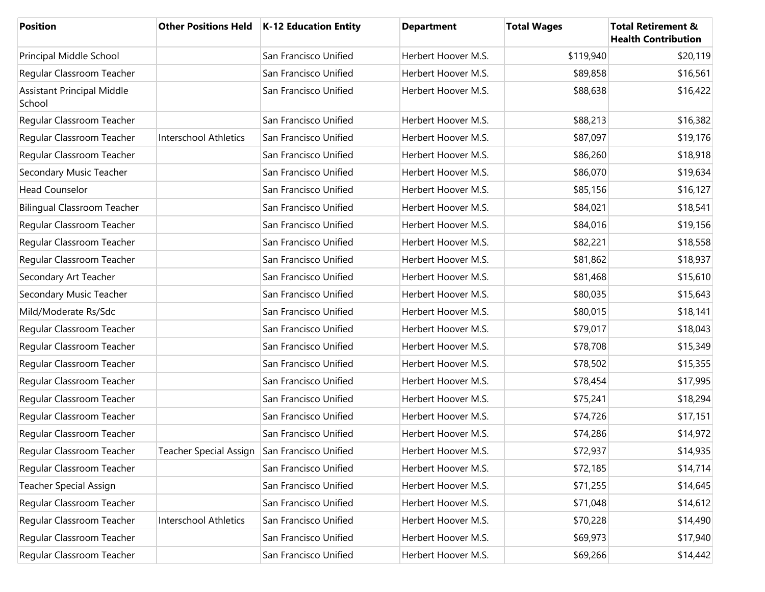| <b>Position</b>                             |                                              | Other Positions Held   K-12 Education Entity | <b>Department</b>   | <b>Total Wages</b> | <b>Total Retirement &amp;</b><br><b>Health Contribution</b> |
|---------------------------------------------|----------------------------------------------|----------------------------------------------|---------------------|--------------------|-------------------------------------------------------------|
| Principal Middle School                     |                                              | San Francisco Unified                        | Herbert Hoover M.S. | \$119,940          | \$20,119                                                    |
| Regular Classroom Teacher                   |                                              | San Francisco Unified                        | Herbert Hoover M.S. | \$89,858           | \$16,561                                                    |
| <b>Assistant Principal Middle</b><br>School |                                              | San Francisco Unified                        | Herbert Hoover M.S. | \$88,638           | \$16,422                                                    |
| Regular Classroom Teacher                   |                                              | San Francisco Unified                        | Herbert Hoover M.S. | \$88,213           | \$16,382                                                    |
| Regular Classroom Teacher                   | Interschool Athletics                        | San Francisco Unified                        | Herbert Hoover M.S. | \$87,097           | \$19,176                                                    |
| Regular Classroom Teacher                   |                                              | San Francisco Unified                        | Herbert Hoover M.S. | \$86,260           | \$18,918                                                    |
| Secondary Music Teacher                     |                                              | San Francisco Unified                        | Herbert Hoover M.S. | \$86,070           | \$19,634                                                    |
| <b>Head Counselor</b>                       |                                              | San Francisco Unified                        | Herbert Hoover M.S. | \$85,156           | \$16,127                                                    |
| <b>Bilingual Classroom Teacher</b>          |                                              | San Francisco Unified                        | Herbert Hoover M.S. | \$84,021           | \$18,541                                                    |
| Regular Classroom Teacher                   |                                              | San Francisco Unified                        | Herbert Hoover M.S. | \$84,016           | \$19,156                                                    |
| Regular Classroom Teacher                   |                                              | San Francisco Unified                        | Herbert Hoover M.S. | \$82,221           | \$18,558                                                    |
| Regular Classroom Teacher                   |                                              | San Francisco Unified                        | Herbert Hoover M.S. | \$81,862           | \$18,937                                                    |
| Secondary Art Teacher                       |                                              | San Francisco Unified                        | Herbert Hoover M.S. | \$81,468           | \$15,610                                                    |
| Secondary Music Teacher                     |                                              | San Francisco Unified                        | Herbert Hoover M.S. | \$80,035           | \$15,643                                                    |
| Mild/Moderate Rs/Sdc                        |                                              | San Francisco Unified                        | Herbert Hoover M.S. | \$80,015           | \$18,141                                                    |
| Regular Classroom Teacher                   |                                              | San Francisco Unified                        | Herbert Hoover M.S. | \$79,017           | \$18,043                                                    |
| Regular Classroom Teacher                   |                                              | San Francisco Unified                        | Herbert Hoover M.S. | \$78,708           | \$15,349                                                    |
| Regular Classroom Teacher                   |                                              | San Francisco Unified                        | Herbert Hoover M.S. | \$78,502           | \$15,355                                                    |
| Regular Classroom Teacher                   |                                              | San Francisco Unified                        | Herbert Hoover M.S. | \$78,454           | \$17,995                                                    |
| Regular Classroom Teacher                   |                                              | San Francisco Unified                        | Herbert Hoover M.S. | \$75,241           | \$18,294                                                    |
| Regular Classroom Teacher                   |                                              | San Francisco Unified                        | Herbert Hoover M.S. | \$74,726           | \$17,151                                                    |
| Regular Classroom Teacher                   |                                              | San Francisco Unified                        | Herbert Hoover M.S. | \$74,286           | \$14,972                                                    |
| Regular Classroom Teacher                   | Teacher Special Assign San Francisco Unified |                                              | Herbert Hoover M.S. | \$72,937           | \$14,935                                                    |
| Regular Classroom Teacher                   |                                              | San Francisco Unified                        | Herbert Hoover M.S. | \$72,185           | \$14,714                                                    |
| <b>Teacher Special Assign</b>               |                                              | San Francisco Unified                        | Herbert Hoover M.S. | \$71,255           | \$14,645                                                    |
| Regular Classroom Teacher                   |                                              | San Francisco Unified                        | Herbert Hoover M.S. | \$71,048           | \$14,612                                                    |
| Regular Classroom Teacher                   | Interschool Athletics                        | San Francisco Unified                        | Herbert Hoover M.S. | \$70,228           | \$14,490                                                    |
| Regular Classroom Teacher                   |                                              | San Francisco Unified                        | Herbert Hoover M.S. | \$69,973           | \$17,940                                                    |
| Regular Classroom Teacher                   |                                              | San Francisco Unified                        | Herbert Hoover M.S. | \$69,266           | \$14,442                                                    |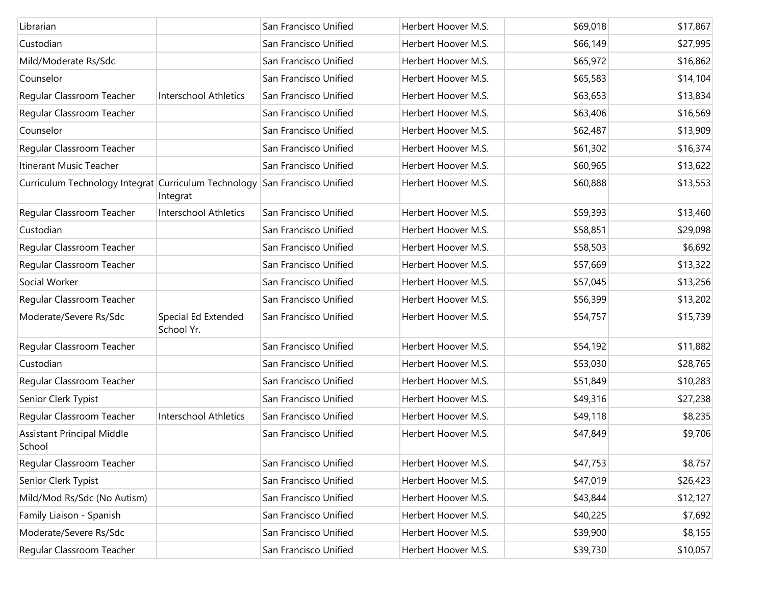| Librarian                                                                  |                                   | San Francisco Unified | Herbert Hoover M.S. | \$69,018 | \$17,867 |
|----------------------------------------------------------------------------|-----------------------------------|-----------------------|---------------------|----------|----------|
| Custodian                                                                  |                                   | San Francisco Unified | Herbert Hoover M.S. | \$66,149 | \$27,995 |
| Mild/Moderate Rs/Sdc                                                       |                                   | San Francisco Unified | Herbert Hoover M.S. | \$65,972 | \$16,862 |
| Counselor                                                                  |                                   | San Francisco Unified | Herbert Hoover M.S. | \$65,583 | \$14,104 |
| Regular Classroom Teacher                                                  | Interschool Athletics             | San Francisco Unified | Herbert Hoover M.S. | \$63,653 | \$13,834 |
| Regular Classroom Teacher                                                  |                                   | San Francisco Unified | Herbert Hoover M.S. | \$63,406 | \$16,569 |
| Counselor                                                                  |                                   | San Francisco Unified | Herbert Hoover M.S. | \$62,487 | \$13,909 |
| Regular Classroom Teacher                                                  |                                   | San Francisco Unified | Herbert Hoover M.S. | \$61,302 | \$16,374 |
| Itinerant Music Teacher                                                    |                                   | San Francisco Unified | Herbert Hoover M.S. | \$60,965 | \$13,622 |
| Curriculum Technology Integrat Curriculum Technology San Francisco Unified | Integrat                          |                       | Herbert Hoover M.S. | \$60,888 | \$13,553 |
| Regular Classroom Teacher                                                  | <b>Interschool Athletics</b>      | San Francisco Unified | Herbert Hoover M.S. | \$59,393 | \$13,460 |
| Custodian                                                                  |                                   | San Francisco Unified | Herbert Hoover M.S. | \$58,851 | \$29,098 |
| Regular Classroom Teacher                                                  |                                   | San Francisco Unified | Herbert Hoover M.S. | \$58,503 | \$6,692  |
| Regular Classroom Teacher                                                  |                                   | San Francisco Unified | Herbert Hoover M.S. | \$57,669 | \$13,322 |
| Social Worker                                                              |                                   | San Francisco Unified | Herbert Hoover M.S. | \$57,045 | \$13,256 |
| Regular Classroom Teacher                                                  |                                   | San Francisco Unified | Herbert Hoover M.S. | \$56,399 | \$13,202 |
| Moderate/Severe Rs/Sdc                                                     | Special Ed Extended<br>School Yr. | San Francisco Unified | Herbert Hoover M.S. | \$54,757 | \$15,739 |
| Regular Classroom Teacher                                                  |                                   | San Francisco Unified | Herbert Hoover M.S. | \$54,192 | \$11,882 |
| Custodian                                                                  |                                   | San Francisco Unified | Herbert Hoover M.S. | \$53,030 | \$28,765 |
| Regular Classroom Teacher                                                  |                                   | San Francisco Unified | Herbert Hoover M.S. | \$51,849 | \$10,283 |
| Senior Clerk Typist                                                        |                                   | San Francisco Unified | Herbert Hoover M.S. | \$49,316 | \$27,238 |
| Regular Classroom Teacher                                                  | Interschool Athletics             | San Francisco Unified | Herbert Hoover M.S. | \$49,118 | \$8,235  |
| <b>Assistant Principal Middle</b><br>School                                |                                   | San Francisco Unified | Herbert Hoover M.S. | \$47,849 | \$9,706  |
| Regular Classroom Teacher                                                  |                                   | San Francisco Unified | Herbert Hoover M.S. | \$47,753 | \$8,757  |
| Senior Clerk Typist                                                        |                                   | San Francisco Unified | Herbert Hoover M.S. | \$47,019 | \$26,423 |
| Mild/Mod Rs/Sdc (No Autism)                                                |                                   | San Francisco Unified | Herbert Hoover M.S. | \$43,844 | \$12,127 |
| Family Liaison - Spanish                                                   |                                   | San Francisco Unified | Herbert Hoover M.S. | \$40,225 | \$7,692  |
| Moderate/Severe Rs/Sdc                                                     |                                   | San Francisco Unified | Herbert Hoover M.S. | \$39,900 | \$8,155  |
| Regular Classroom Teacher                                                  |                                   | San Francisco Unified | Herbert Hoover M.S. | \$39,730 | \$10,057 |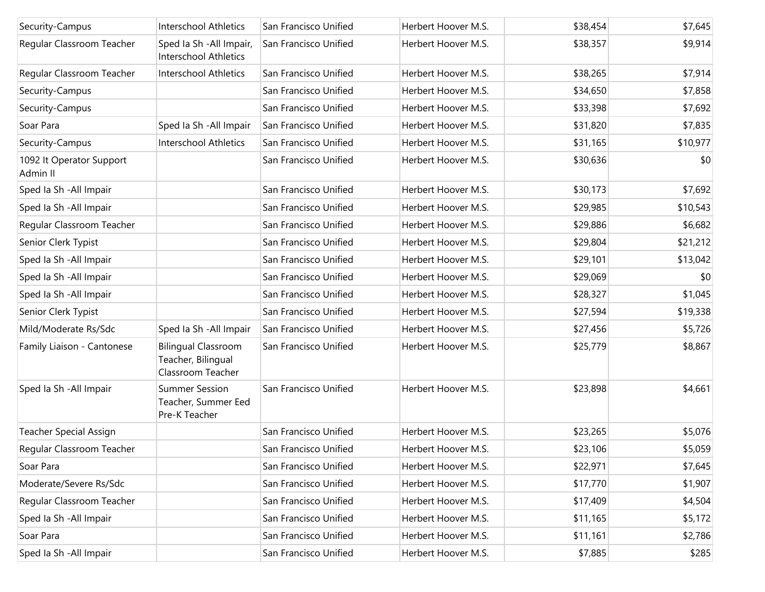| Security-Campus                      | <b>Interschool Athletics</b>                                          | San Francisco Unified | Herbert Hoover M.S. | \$38,454 | \$7,645  |
|--------------------------------------|-----------------------------------------------------------------------|-----------------------|---------------------|----------|----------|
|                                      |                                                                       |                       |                     |          |          |
| Regular Classroom Teacher            | Sped Ia Sh - All Impair,<br>Interschool Athletics                     | San Francisco Unified | Herbert Hoover M.S. | \$38,357 | \$9,914  |
| Regular Classroom Teacher            | <b>Interschool Athletics</b>                                          | San Francisco Unified | Herbert Hoover M.S. | \$38,265 | \$7,914  |
| Security-Campus                      |                                                                       | San Francisco Unified | Herbert Hoover M.S. | \$34,650 | \$7,858  |
| Security-Campus                      |                                                                       | San Francisco Unified | Herbert Hoover M.S. | \$33,398 | \$7,692  |
| Soar Para                            | Sped Ia Sh - All Impair                                               | San Francisco Unified | Herbert Hoover M.S. | \$31,820 | \$7,835  |
| Security-Campus                      | <b>Interschool Athletics</b>                                          | San Francisco Unified | Herbert Hoover M.S. | \$31,165 | \$10,977 |
| 1092 It Operator Support<br>Admin II |                                                                       | San Francisco Unified | Herbert Hoover M.S. | \$30,636 | \$0      |
| Sped Ia Sh - All Impair              |                                                                       | San Francisco Unified | Herbert Hoover M.S. | \$30,173 | \$7,692  |
| Sped Ia Sh - All Impair              |                                                                       | San Francisco Unified | Herbert Hoover M.S. | \$29,985 | \$10,543 |
| Regular Classroom Teacher            |                                                                       | San Francisco Unified | Herbert Hoover M.S. | \$29,886 | \$6,682  |
| Senior Clerk Typist                  |                                                                       | San Francisco Unified | Herbert Hoover M.S. | \$29,804 | \$21,212 |
| Sped Ia Sh - All Impair              |                                                                       | San Francisco Unified | Herbert Hoover M.S. | \$29,101 | \$13,042 |
| Sped Ia Sh - All Impair              |                                                                       | San Francisco Unified | Herbert Hoover M.S. | \$29,069 | \$0      |
| Sped Ia Sh - All Impair              |                                                                       | San Francisco Unified | Herbert Hoover M.S. | \$28,327 | \$1,045  |
| Senior Clerk Typist                  |                                                                       | San Francisco Unified | Herbert Hoover M.S. | \$27,594 | \$19,338 |
| Mild/Moderate Rs/Sdc                 | Sped Ia Sh - All Impair                                               | San Francisco Unified | Herbert Hoover M.S. | \$27,456 | \$5,726  |
| Family Liaison - Cantonese           | <b>Bilingual Classroom</b><br>Teacher, Bilingual<br>Classroom Teacher | San Francisco Unified | Herbert Hoover M.S. | \$25,779 | \$8,867  |
| Sped Ia Sh - All Impair              | <b>Summer Session</b><br>Teacher, Summer Eed<br>Pre-K Teacher         | San Francisco Unified | Herbert Hoover M.S. | \$23,898 | \$4,661  |
| <b>Teacher Special Assign</b>        |                                                                       | San Francisco Unified | Herbert Hoover M.S. | \$23,265 | \$5,076  |
| Regular Classroom Teacher            |                                                                       | San Francisco Unified | Herbert Hoover M.S. | \$23,106 | \$5,059  |
| Soar Para                            |                                                                       | San Francisco Unified | Herbert Hoover M.S. | \$22,971 | \$7,645  |
| Moderate/Severe Rs/Sdc               |                                                                       | San Francisco Unified | Herbert Hoover M.S. | \$17,770 | \$1,907  |
| Regular Classroom Teacher            |                                                                       | San Francisco Unified | Herbert Hoover M.S. | \$17,409 | \$4,504  |
| Sped la Sh - All Impair              |                                                                       | San Francisco Unified | Herbert Hoover M.S. | \$11,165 | \$5,172  |
| Soar Para                            |                                                                       | San Francisco Unified | Herbert Hoover M.S. | \$11,161 | \$2,786  |
| Sped Ia Sh - All Impair              |                                                                       | San Francisco Unified | Herbert Hoover M.S. | \$7,885  | \$285    |